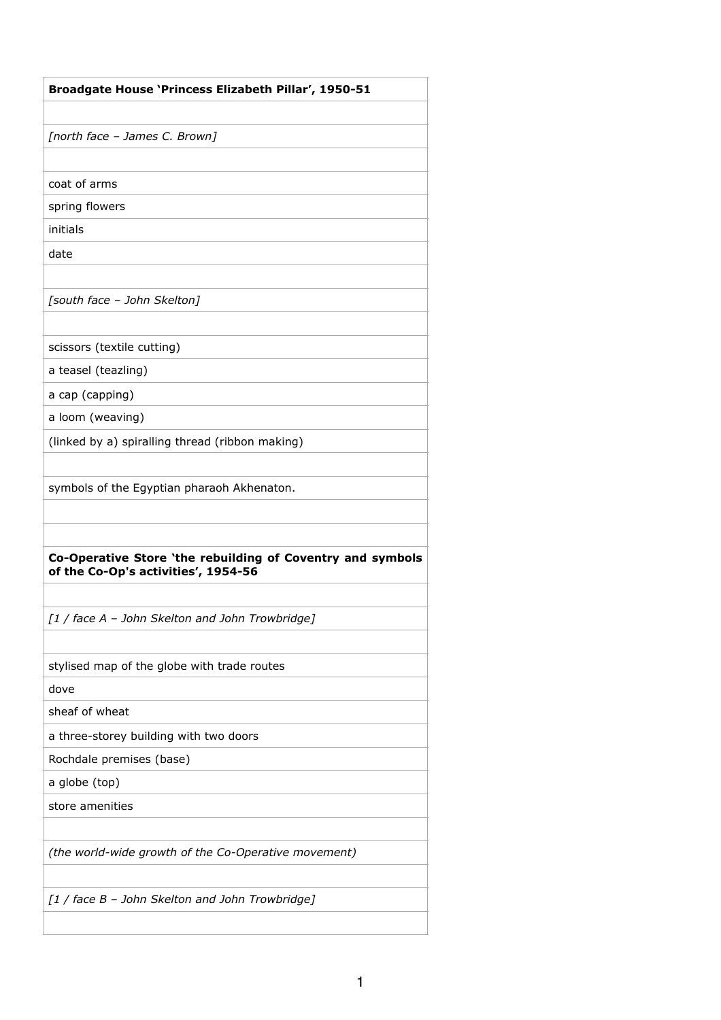| Broadgate House 'Princess Elizabeth Pillar', 1950-51                                              |
|---------------------------------------------------------------------------------------------------|
|                                                                                                   |
| [north face - James C. Brown]                                                                     |
|                                                                                                   |
| coat of arms                                                                                      |
| spring flowers                                                                                    |
| initials                                                                                          |
| date                                                                                              |
|                                                                                                   |
| [south face - John Skelton]                                                                       |
|                                                                                                   |
| scissors (textile cutting)                                                                        |
| a teasel (teazling)                                                                               |
| a cap (capping)                                                                                   |
| a loom (weaving)                                                                                  |
| (linked by a) spiralling thread (ribbon making)                                                   |
|                                                                                                   |
| symbols of the Egyptian pharaoh Akhenaton.                                                        |
|                                                                                                   |
|                                                                                                   |
| Co-Operative Store 'the rebuilding of Coventry and symbols<br>of the Co-Op's activities', 1954-56 |
|                                                                                                   |
| [1 / face A - John Skelton and John Trowbridge]                                                   |
|                                                                                                   |
| stylised map of the globe with trade routes                                                       |
| dove                                                                                              |
| sheaf of wheat                                                                                    |
| a three-storey building with two doors                                                            |
| Rochdale premises (base)                                                                          |
| a globe (top)                                                                                     |
| store amenities                                                                                   |
|                                                                                                   |
| (the world-wide growth of the Co-Operative movement)                                              |
|                                                                                                   |
| [1 / face B - John Skelton and John Trowbridge]                                                   |
|                                                                                                   |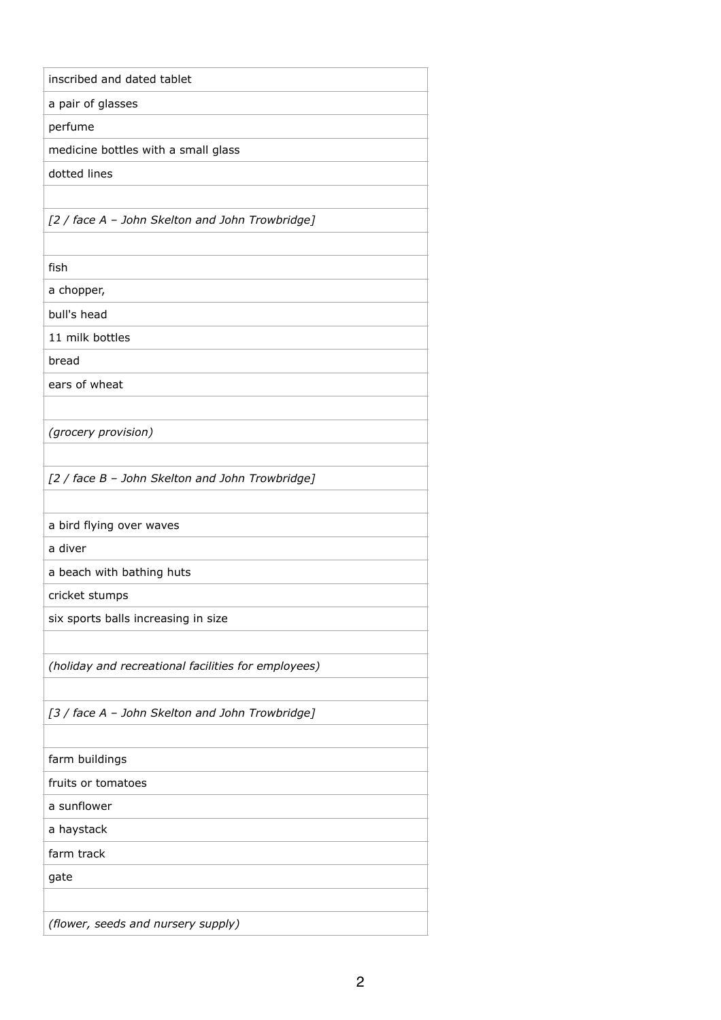| inscribed and dated tablet                          |
|-----------------------------------------------------|
| a pair of glasses                                   |
| perfume                                             |
| medicine bottles with a small glass                 |
| dotted lines                                        |
|                                                     |
| [2 / face A - John Skelton and John Trowbridge]     |
| fish                                                |
| a chopper,                                          |
| bull's head                                         |
| 11 milk bottles                                     |
| bread                                               |
| ears of wheat                                       |
|                                                     |
| (grocery provision)                                 |
|                                                     |
| [2 / face B - John Skelton and John Trowbridge]     |
|                                                     |
| a bird flying over waves                            |
| a diver                                             |
| a beach with bathing huts                           |
| cricket stumps                                      |
| six sports balls increasing in size                 |
|                                                     |
| (holiday and recreational facilities for employees) |
|                                                     |
| [3 / face A - John Skelton and John Trowbridge]     |
|                                                     |
| farm buildings                                      |
| fruits or tomatoes                                  |
| a sunflower                                         |
| a haystack                                          |
| farm track                                          |
| gate                                                |
|                                                     |
| (flower, seeds and nursery supply)                  |